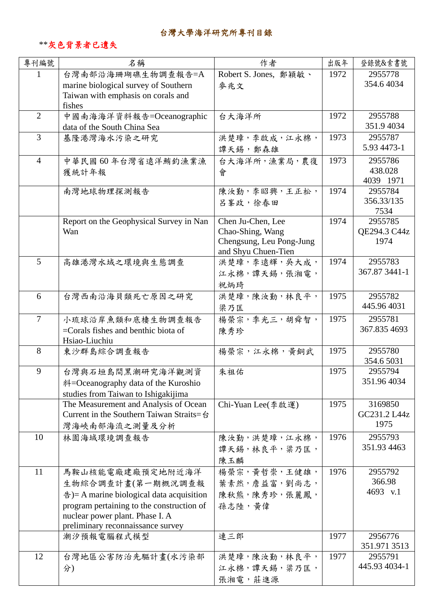## 台灣大學海洋研究所專刊目錄

## \*\*灰色背景者已遺失

| 專刊編號           | 名稱                                                                           | 作者                                  | 出版年  | 登錄號&索書號               |
|----------------|------------------------------------------------------------------------------|-------------------------------------|------|-----------------------|
| 1              | 台灣南部沿海珊瑚礁生物調查報告=A                                                            | Robert S. Jones, 鄭穎敏、               | 1972 | 2955778               |
|                | marine biological survey of Southern                                         | 麥兆文                                 |      | 354.64034             |
|                | Taiwan with emphasis on corals and<br>fishes                                 |                                     |      |                       |
| $\overline{2}$ | 中國南海海洋資料報告=Oceanographic                                                     | 台大海洋所                               | 1972 | 2955788               |
|                | data of the South China Sea                                                  |                                     |      | 351.94034             |
| 3              | 基隆港灣海水污染之研究                                                                  | 洪楚璋,李啟成,江永棉,                        | 1973 | 2955787               |
|                |                                                                              | 譚天錫,鄭森雄                             |      | 5.93 4473-1           |
| $\overline{4}$ | 中華民國60年台灣省遠洋鮪釣漁業漁                                                            | 台大海洋所, 漁業局, 農復                      | 1973 | 2955786               |
|                | 獲統計年報                                                                        | 會                                   |      | 438.028               |
|                | 南灣地球物理探測報告                                                                   | 陳汝勤,李昭興,王正松,                        | 1974 | 4039 1971<br>2955784  |
|                |                                                                              | 呂峯政,徐春田                             |      | 356.33/135            |
|                |                                                                              |                                     |      | 7534                  |
|                | Report on the Geophysical Survey in Nan                                      | Chen Ju-Chen, Lee                   | 1974 | 2955785               |
|                | Wan                                                                          | Chao-Shing, Wang                    |      | QE294.3 C44z          |
|                |                                                                              | Chengsung, Leu Pong-Jung            |      | 1974                  |
| $\overline{5}$ | 高雄港灣水域之環境與生態調查                                                               | and Shyu Chuen-Tien<br>洪楚璋,李遠輝,吳大成, | 1974 | 2955783               |
|                |                                                                              | 江永棉, 譚天錫, 張湘電,                      |      | 367.87 3441-1         |
|                |                                                                              | 祝炳琦                                 |      |                       |
| 6              | 台灣西南沿海貝類死亡原因之研究                                                              | 洪楚璋,陳汝勤,林良平,                        | 1975 | 2955782               |
|                |                                                                              | 梁乃匡                                 |      | 445.96 4031           |
| $\tau$         | 小琉球沿岸魚類和底棲生物調查報告                                                             | 楊榮宗,季光三,胡舜智,                        | 1975 | 2955781               |
|                | $=$ Corals fishes and benthic biota of                                       | 陳秀珍                                 |      | 367.835 4693          |
|                | Hsiao-Liuchiu                                                                |                                     |      |                       |
| 8              | 東沙群島綜合調查報告                                                                   | 楊榮宗,江永棉,黃銅武                         | 1975 | 2955780<br>354.6 5031 |
| 9              | 台灣與石垣島間黑潮研究海洋觀測資                                                             | 朱祖佑                                 | 1975 | 2955794               |
|                | 料=Oceanography data of the Kuroshio                                          |                                     |      | 351.96 4034           |
|                | studies from Taiwan to Ishigakijima                                          |                                     |      |                       |
|                | The Measurement and Analysis of Ocean                                        | Chi-Yuan Lee(李啟運)                   | 1975 | 3169850               |
|                | Current in the Southern Taiwan Straits=台                                     |                                     |      | GC231.2 L44z          |
|                | 灣海峽南部海流之測量及分析                                                                |                                     |      | 1975                  |
| 10             | 林園海域環境調查報告                                                                   | 陳汝勤,洪楚璋,江永棉,                        | 1976 | 2955793               |
|                |                                                                              | 譚天錫, 林良平, 粱乃匡,                      |      | 351.93 4463           |
|                |                                                                              | 陳玉麟                                 |      |                       |
| 11             | 馬鞍山核能電廠建廠預定地附近海洋                                                             | 楊榮宗,黃哲崇,王健雄,                        | 1976 | 2955792               |
|                | 生物綜合調查計畫(第一期概況調查報                                                            | 葉素然,詹益富,劉尚志,                        |      | 366.98<br>4693 v.1    |
|                | $\pm$ = A marine biological data acquisition                                 | 陳秋熊,陳秀珍,張麗鳳,                        |      |                       |
|                | program pertaining to the construction of<br>nuclear power plant. Phase I. A | 孫志陸,黃偉                              |      |                       |
|                | preliminary reconnaissance survey                                            |                                     |      |                       |
|                | 潮汐預報電腦程式模型                                                                   | 連三郎                                 | 1977 | 2956776               |
|                |                                                                              |                                     |      | 351.971 3513          |
| 12             | 台灣地區公害防治先驅計畫(水污染部                                                            | 洪楚璋,陳汝勤,林良平,                        | 1977 | 2955791               |
|                | 分)                                                                           | 江永棉, 譚天錫, 梁乃匡,                      |      | 445.93 4034-1         |
|                |                                                                              | 張湘電,莊進源                             |      |                       |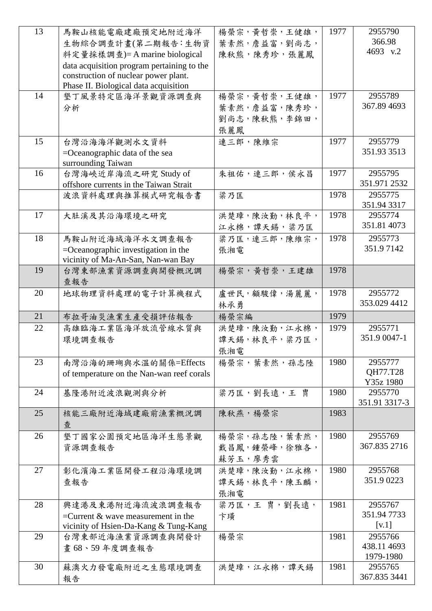| 13 | 馬鞍山核能電廠建廠預定地附近海洋                                                             | 楊榮宗,黃哲崇,王健雄,   | 1977 | 2955790                |
|----|------------------------------------------------------------------------------|----------------|------|------------------------|
|    | 生物綜合調查計畫(第二期報告:生物資                                                           | 葉素然,詹益富,劉尚志,   |      | 366.98                 |
|    | 料定量採樣調查)=A marine biological                                                 | 陳秋熊,陳秀珍,張麗鳳    |      | 4693 v.2               |
|    | data acquisition program pertaining to the                                   |                |      |                        |
|    | construction of nuclear power plant.                                         |                |      |                        |
|    | Phase II. Biological data acquisition                                        |                |      |                        |
| 14 | 墾丁風景特定區海洋景觀資源調查與                                                             | 楊榮宗,黃哲崇,王健雄,   | 1977 | 2955789                |
|    | 分析                                                                           | 葉素然,詹益富,陳秀珍,   |      | 367.89 4693            |
|    |                                                                              | 劉尚志,陳秋熊,李錦田,   |      |                        |
|    |                                                                              | 張麗鳳            |      |                        |
| 15 | 台灣沿海海洋觀測水文資料                                                                 | 連三郎,陳維宗        | 1977 | 2955779                |
|    | =Oceanographic data of the sea                                               |                |      | 351.93 3513            |
|    | surrounding Taiwan                                                           |                |      |                        |
| 16 | 台灣海峽近岸海流之研究 Study of                                                         | 朱祖佑,連三郎,侯永昌    | 1977 | 2955795                |
|    | offshore currents in the Taiwan Strait                                       |                |      | 351.971 2532           |
|    | 波浪資料處理與推算模式研究報告書                                                             | 梁乃匡            | 1978 | 2955775<br>351.94 3317 |
| 17 | 大肚溪及其沿海環境之研究                                                                 | 洪楚璋,陳汝勤,林良平,   | 1978 | 2955774                |
|    |                                                                              | 江永棉,譚天錫,梁乃匡    |      | 351.81 4073            |
| 18 |                                                                              | 梁乃匡,連三郎,陳維宗,   | 1978 | 2955773                |
|    | 馬鞍山附近海域海洋水文調查報告                                                              |                |      | 351.97142              |
|    | $=$ Oceanographic investigation in the<br>vicinity of Ma-An-San, Nan-wan Bay | 張湘電            |      |                        |
| 19 | 台灣東部漁業資源調查與開發概況調                                                             | 楊榮宗,黃哲崇,王建雄    | 1978 |                        |
|    | 查報告                                                                          |                |      |                        |
| 20 | 地球物理資料處理的電子計算機程式                                                             | 盧世民,顧駿偉,湯麗麗,   | 1978 | 2955772                |
|    |                                                                              | 林承勇            |      | 353.029 4412           |
| 21 | 布拉哥油災漁業生產受損評估報告                                                              | 楊榮宗編           | 1979 |                        |
| 22 | 高雄臨海工業區海洋放流管線水質與                                                             | 洪楚璋,陳汝勤,江永棉,   | 1979 | 2955771                |
|    | 環境調查報告                                                                       | 譚天錫, 林良平, 梁乃匡, |      | 351.9 0047-1           |
|    |                                                                              | 張湘電            |      |                        |
| 23 | 南灣沿海的珊瑚與水溫的關係=Effects                                                        | 楊榮宗,葉素然,孫志陸    | 1980 | 2955777                |
|    | of temperature on the Nan-wan reef corals                                    |                |      | QH77.T28               |
|    |                                                                              |                |      | Y35z 1980              |
| 24 | 基隆港附近波浪觀測與分析                                                                 | 梁乃匡,劉長遠,王胄     | 1980 | 2955770                |
|    |                                                                              |                |      | 351.91 3317-3          |
| 25 | 核能三廠附近海域建廠前漁業概況調                                                             | 陳秋燕,楊榮宗        | 1983 |                        |
|    | 查                                                                            |                |      |                        |
| 26 | 墾丁國家公園預定地區海洋生態景觀                                                             | 楊榮宗,孫志陸,葉素然,   | 1980 | 2955769                |
|    | 資源調查報告                                                                       | 戴昌鳳,鍾榮峰,徐雅各,   |      | 367.835 2716           |
|    |                                                                              | 蘇芳玉,廖秀雲        |      |                        |
| 27 | 彰化濱海工業區開發工程沿海環境調                                                             | 洪楚璋,陳汝勤,江永棉,   | 1980 | 2955768                |
|    | 查報告                                                                          | 譚天錫,林良平,陳玉麟,   |      | 351.90223              |
|    |                                                                              | 張湘電            |      |                        |
| 28 | 興達港及東港附近海流波浪調查報告                                                             | 梁乃匡,王胄,劉長遠,    | 1981 | 2955767                |
|    | $=$ Current & wave measurement in the                                        | 卞璜             |      | 351.947733             |
|    | vicinity of Hsien-Da-Kang & Tung-Kang                                        |                |      | [ $v.1$ ]              |
| 29 | 台灣東部近海漁業資源調查與開發計                                                             | 楊榮宗            | 1981 | 2955766                |
|    | 畫 68、59年度調查報告                                                                |                |      | 438.11 4693            |
| 30 | 蘇澳火力發電廠附近之生態環境調查                                                             | 洪楚璋,江永棉,譚天錫    | 1981 | 1979-1980<br>2955765   |
|    | 報告                                                                           |                |      | 367.835 3441           |
|    |                                                                              |                |      |                        |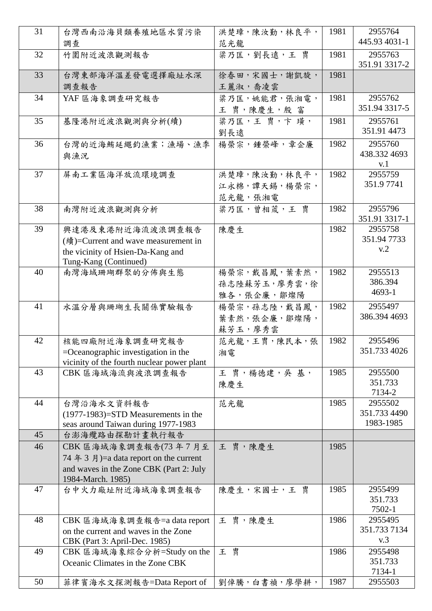| 31 | 台灣西南沿海貝類養殖地區水質污染                                                              | 洪楚璋,陳汝勤,林良平,   | 1981 | 2955764<br>445.93 4031-1 |
|----|-------------------------------------------------------------------------------|----------------|------|--------------------------|
|    | 調查                                                                            | 范光龍            |      |                          |
| 32 | 竹圍附近波浪觀測報告                                                                    | 梁乃匡,劉長遠,王胄     | 1981 | 2955763<br>351.91 3317-2 |
| 33 | 台灣東部海洋溫差發電選擇廠址水深                                                              | 徐春田,宋國士,謝凱旋,   | 1981 |                          |
|    | 調查報告                                                                          | 王麗淑,喬凌雲        |      |                          |
| 34 | YAF 區海象調查研究報告                                                                 | 粱乃匡,姚能君,張湘電,   | 1981 | 2955762                  |
|    |                                                                               | 王 胄,陳慶生,殷富     |      | 351.94 3317-5            |
| 35 | 基隆港附近波浪觀測與分析(續)                                                               | 梁乃匡,王胄,卞璜,     | 1981 | 2955761                  |
|    |                                                                               | 劉長遠            |      | 351.91 4473              |
| 36 | 台灣的近海鮪延繩釣漁業;漁場、漁季                                                             | 楊榮宗,鍾榮峰,章企廉    | 1982 | 2955760                  |
|    | 與漁況                                                                           |                |      | 438.332 4693             |
| 37 |                                                                               |                |      | v.1<br>2955759           |
|    | 屏南工業區海洋放流環境調查                                                                 | 洪楚璋,陳汝勤,林良平,   | 1982 | 351.97741                |
|    |                                                                               | 江永棉, 譚天錫, 楊榮宗, |      |                          |
|    |                                                                               | 范光龍,張湘電        |      |                          |
| 38 | 南灣附近波浪觀測與分析                                                                   | 梁乃匡,曾相荿,王胄     | 1982 | 2955796<br>351.91 3317-1 |
| 39 | 興達港及東港附近海流波浪調查報告                                                              | 陳慶生            | 1982 | 2955758                  |
|    | (續)=Current and wave measurement in                                           |                |      | 351.947733               |
|    | the vicinity of Hsien-Da-Kang and                                             |                |      | v.2                      |
|    | Tung-Kang (Continued)                                                         |                |      |                          |
| 40 | 南灣海域珊瑚群聚的分佈與生態                                                                | 楊榮宗,戴昌鳳,葉素然,   | 1982 | 2955513                  |
|    |                                                                               | 孫志陸蘇芳玉,廖秀雲,徐   |      | 386.394                  |
|    |                                                                               | 雅各,張企廉,鄒燦陽     |      | 4693-1                   |
| 41 | 水溫分層與珊瑚生長關係實驗報告                                                               | 楊榮宗,孫志陸,戴昌鳳,   | 1982 | 2955497                  |
|    |                                                                               | 葉素然,張企廉,鄒燦陽,   |      | 386.394 4693             |
|    |                                                                               | 蘇芳玉,廖秀雲        |      |                          |
| 42 | 核能四廠附近海象調查研究報告                                                                | 范光龍,王胄,陳民本,張   | 1982 | 2955496                  |
|    | $=$ Oceanographic investigation in the                                        | 湘電             |      | 351.733 4026             |
|    | vicinity of the fourth nuclear power plant                                    |                |      |                          |
| 43 | CBK 區海域海流與波浪調查報告                                                              | 王胄,楊徳建,吳基,     | 1985 | 2955500                  |
|    |                                                                               | 陳慶生            |      | 351.733                  |
| 44 |                                                                               |                | 1985 | 7134-2<br>2955502        |
|    | 台灣沿海水文資料報告                                                                    | 范光龍            |      | 351.733 4490             |
|    | $(1977-1983)$ =STD Measurements in the<br>seas around Taiwan during 1977-1983 |                |      | 1983-1985                |
| 45 | 台澎海纜路由探勘計畫執行報告                                                                |                |      |                          |
| 46 | CBK 區海域海象調查報告(73年7月至                                                          | 王 胄,陳慶生        | 1985 |                          |
|    | 74 年 3 月 = a data report on the current                                       |                |      |                          |
|    | and waves in the Zone CBK (Part 2: July                                       |                |      |                          |
|    | 1984-March. 1985)                                                             |                |      |                          |
| 47 | 台中火力廠址附近海域海象調查報告                                                              | 陳慶生,宋國士,王胄     | 1985 | 2955499                  |
|    |                                                                               |                |      | 351.733                  |
|    |                                                                               |                |      | 7502-1                   |
| 48 | CBK 區海域海象調查報告=a data report                                                   | 王 胄,陳慶生        | 1986 | 2955495                  |
|    | on the current and waves in the Zone                                          |                |      | 351.733 7134<br>v.3      |
| 49 | CBK (Part 3: April-Dec. 1985)                                                 | 王胄             | 1986 | 2955498                  |
|    | CBK 區海域海象綜合分析=Study on the<br>Oceanic Climates in the Zone CBK                |                |      | 351.733                  |
|    |                                                                               |                |      | 7134-1                   |
| 50 | 菲律賓海水文探測報告=Data Report of                                                     | 劉倬騰,白書禎,廖學耕,   | 1987 | 2955503                  |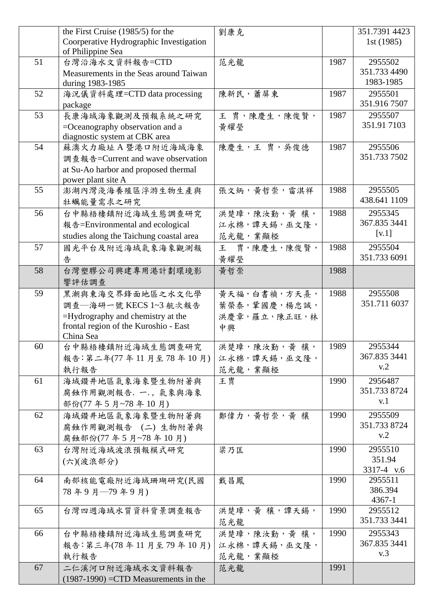|    | the First Cruise (1985/5) for the<br>Coorperative Hydrographic Investigation | 劉康克             |      | 351.7391 4423<br>1st (1985) |
|----|------------------------------------------------------------------------------|-----------------|------|-----------------------------|
|    | of Philippine Sea                                                            |                 |      |                             |
| 51 | 台灣沿海水文資料報告=CTD                                                               | 范光龍             | 1987 | 2955502                     |
|    | Measurements in the Seas around Taiwan                                       |                 |      | 351.733 4490                |
|    | during 1983-1985                                                             |                 |      | 1983-1985                   |
| 52 | 海況儀資料處理=CTD data processing                                                  | 陳新民,蕭屏東         | 1987 | 2955501                     |
|    | package                                                                      |                 |      | 351.916 7507                |
| 53 | 長康海域海象觀測及預報系統之研究                                                             | 王 胄,陳慶生,陳俊賢,    | 1987 | 2955507                     |
|    | $=$ Oceanography observation and a                                           | 黃耀瑩             |      | 351.91 7103                 |
|    | diagnostic system at CBK area                                                |                 |      |                             |
| 54 | 蘇澳火力廠址A暨港口附近海域海象                                                             | 陳慶生,王胄,吳俊德      | 1987 | 2955506                     |
|    | 調查報告=Current and wave observation                                            |                 |      | 351.733 7502                |
|    | at Su-Ao harbor and proposed thermal                                         |                 |      |                             |
|    | power plant site A                                                           |                 |      |                             |
| 55 | 澎湖內灣淺海養殖區浮游生物生產與                                                             | 張文炳,黃哲崇,雷淇祥     | 1988 | 2955505                     |
|    | 牡蠣能量需求之研究                                                                    |                 |      | 438.641 1109                |
| 56 | 台中縣梧棲鎮附近海域生態調查研究                                                             | 洪楚璋,陳汝勤,黃 穰,    | 1988 | 2955345                     |
|    | 報告=Environmental and ecological                                              | 江永棉,譚天錫,巫文隆,    |      | 367.835 3441                |
|    | studies along the Taichung coastal area                                      | 范光龍,業顯椏         |      | [v.1]                       |
| 57 | 國光平台及附近海域氣象海象觀測報                                                             | 胄,陳慶生,陳俊賢,<br>王 | 1988 | 2955504                     |
|    | 告                                                                            | 黃耀瑩             |      | 351.733 6091                |
|    |                                                                              |                 | 1988 |                             |
| 58 | 台灣塑膠公司興建專用港計劃環境影                                                             | 黄哲崇             |      |                             |
|    | 響評估調查                                                                        |                 |      |                             |
| 59 | 黑潮與東海交界鋒面地區之水文化學                                                             | 黄天福,白書禎,方天熹,    | 1988 | 2955508                     |
|    | 調查––海研一號 KECS 1~3 航次報告                                                       | 葉榮泰,鞏國慶,楊忠誠,    |      | 351.711 6037                |
|    | =Hydrography and chemistry at the                                            | 洪慶章,羅立,陳正旺,林    |      |                             |
|    | frontal region of the Kuroshio - East                                        | 中興              |      |                             |
|    | China Sea                                                                    |                 |      |                             |
| 60 | 台中縣梧棲鎮附近海域生態調查研究                                                             | 洪楚璋,陳汝勤,黃 穰,    | 1989 | 2955344<br>367.835 3441     |
|    | 報告:第二年(77年11月至78年10月)                                                        | 江永棉, 譚天錫, 巫文隆,  |      | v.2                         |
|    | 執行報告                                                                         | 范光龍,業顯椏         |      |                             |
| 61 | 海域鑽井地區氣象海象暨生物附著與                                                             | 王胄              | 1990 | 2956487                     |
|    | 腐蝕作用觀測報告. 一., 氣象與海象                                                          |                 |      | 351.733 8724                |
|    | 部份(77年5月~78年10月)                                                             |                 |      | v.1                         |
| 62 | 海域鑽井地區氣象海象暨生物附著與                                                             | 鄭偉力,黃哲崇,黃穰      | 1990 | 2955509                     |
|    | 腐蝕作用觀測報告 (二)生物附著與                                                            |                 |      | 351.733 8724                |
|    | 腐蝕部份(77年5月~78年10月)                                                           |                 |      | v.2                         |
| 63 | 台灣附近海域波浪預報模式研究                                                               | 梁乃匡             | 1990 | 2955510                     |
|    | (六)(波浪部分)                                                                    |                 |      | 351.94                      |
|    |                                                                              |                 |      | 3317-4 v.6                  |
| 64 | 南部核能電廠附近海域珊瑚研究(民國                                                            | 戴昌鳳             | 1990 | 2955511                     |
|    | 78年9月–79年9月)                                                                 |                 |      | 386.394                     |
|    |                                                                              |                 |      | $4367 - 1$                  |
| 65 | 台灣四週海域水質資料背景調查報告                                                             | 洪楚璋,黃 穰,譚天錫,    | 1990 | 2955512                     |
|    |                                                                              | 范光龍             |      | 351.733 3441                |
| 66 | 台中縣梧棲鎮附近海域生態調查研究                                                             | 洪楚璋,陳汝勤,黃 穰,    | 1990 | 2955343                     |
|    | 報告: 第三年(78年11月至79年10月)                                                       | 江永棉, 譚天錫, 巫文隆,  |      | 367.835 3441                |
|    | 執行報告                                                                         | 范光龍,業顯椏         |      | v.3                         |
| 67 | 二仁溪河口附近海域水文資料報告                                                              | 范光龍             | 1991 |                             |
|    | $(1987-1990)$ =CTD Measurements in the                                       |                 |      |                             |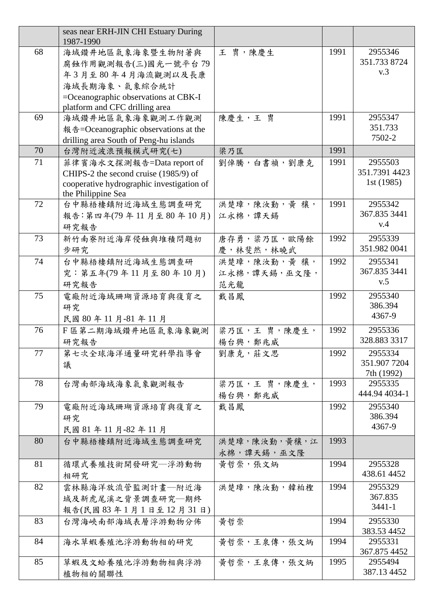|    | seas near ERH-JIN CHI Estuary During<br>1987-1990 |              |      |                             |
|----|---------------------------------------------------|--------------|------|-----------------------------|
| 68 | 海域鑽井地區氣象海象暨生物附著與                                  | 王 胄,陳慶生      | 1991 | 2955346                     |
|    |                                                   |              |      | 351.733 8724                |
|    | 腐蝕作用觀測報告(三)國光一號平台79                               |              |      | v.3                         |
|    | 年3月至80年4月海流觀測以及長康                                 |              |      |                             |
|    | 海域長期海象、氣象綜合統計                                     |              |      |                             |
|    | $=$ Oceanographic observations at CBK-I           |              |      |                             |
|    | platform and CFC drilling area                    |              |      |                             |
| 69 | 海域鑽井地區氣象海象觀測工作觀測                                  | 陳慶生,王胄       | 1991 | 2955347<br>351.733          |
|    | 報告=Oceanographic observations at the              |              |      | 7502-2                      |
| 70 | drilling area South of Peng-hu islands            |              |      |                             |
|    | 台灣附近波浪預報模式研究(七)                                   | 梁乃匡          | 1991 |                             |
| 71 | 菲律賓海水文探測報告=Data report of                         | 劉倬騰,白書禎,劉康克  | 1991 | 2955503                     |
|    | CHIPS-2 the second cruise (1985/9) of             |              |      | 351.7391 4423<br>1st (1985) |
|    | cooperative hydrographic investigation of         |              |      |                             |
| 72 | the Philippine Sea<br>台中縣梧棲鎮附近海域生態調查研究            | 洪楚璋,陳汝勤,黃 穰, | 1991 | 2955342                     |
|    |                                                   |              |      | 367.835 3441                |
|    | 報告: 第四年(79年11月至80年10月)                            | 江永棉,譚天錫      |      | v.4                         |
|    | 研究報告                                              |              |      |                             |
| 73 | 新竹南寮附近海岸侵蝕與堆積問題初                                  | 唐存勇,梁乃匡,歐陽餘  | 1992 | 2955339<br>351.982 0041     |
|    | 步研究                                               | 慶,林斐然,林曉武    |      |                             |
| 74 | 台中縣梧棲鎮附近海域生態調查研                                   | 洪楚璋,陳汝勤,黃 穰, | 1992 | 2955341                     |
|    | 究: 第五年(79年11月至80年10月)                             | 江永棉,譚天錫,巫文隆, |      | 367.835 3441<br>v.5         |
|    | 研究報告                                              | 范光龍          |      |                             |
| 75 | 電廠附近海域珊瑚資源培育與復育之                                  | 戴昌鳳          | 1992 | 2955340                     |
|    | 研究                                                |              |      | 386.394                     |
|    | 民國 80年11月-81年11月                                  |              |      | 4367-9                      |
| 76 | F 區第二期海域鑽井地區氣象海象觀測                                | 梁乃匡,王胄,陳慶生,  | 1992 | 2955336                     |
|    | 研究報告                                              | 楊台興,鄭兆威      |      | 328.883 3317                |
| 77 | 第七次全球海洋通量研究科學指導會                                  | 劉康克,莊文思      | 1992 | 2955334                     |
|    | 議                                                 |              |      | 351.907 7204                |
|    |                                                   |              |      | 7th (1992)                  |
| 78 | 台灣南部海域海象氣象觀測報告                                    | 梁乃匡,王胄,陳慶生,  | 1993 | 2955335                     |
|    |                                                   | 楊台興,鄭兆威      |      | 444.94 4034-1               |
| 79 | 電廠附近海域珊瑚資源培育與復育之                                  | 戴昌鳳          | 1992 | 2955340                     |
|    | 研究                                                |              |      | 386.394                     |
|    | 民國 81年11月-82年11月                                  |              |      | 4367-9                      |
| 80 | 台中縣梧棲鎮附近海域生態調查研究                                  | 洪楚璋,陳汝勤,黃穰,江 | 1993 |                             |
|    |                                                   | 永棉,譚天錫,巫文隆   |      |                             |
| 81 | 循環式養殖技術開發研究—浮游動物                                  | 黃哲崇,張文炳      | 1994 | 2955328                     |
|    | 相研究                                               |              |      | 438.61 4452                 |
| 82 | 雲林縣海洋放流管監測計畫—附近海                                  | 洪楚璋,陳汝勤,韓柏檉  | 1994 | 2955329                     |
|    | 域及新虎尾溪之背景調查研究—期終                                  |              |      | 367.835                     |
|    | 報告(民國83年1月1日至12月31日)                              |              |      | $3441 - 1$                  |
| 83 | 台灣海峽南部海域表層浮游動物分佈                                  | 黄哲崇          | 1994 | 2955330                     |
|    |                                                   |              |      | 383.53 4452                 |
| 84 | 海水草蝦養殖池浮游動物相的研究                                   | 黃哲崇,王泉傳,張文炳  | 1994 | 2955331                     |
|    |                                                   |              |      | 367.875 4452                |
| 85 | 草蝦及文蛤養殖池浮游動物相與浮游                                  | 黃哲崇,王泉傳,張文炳  | 1995 | 2955494                     |
|    | 植物相的關聯性                                           |              |      | 387.13 4452                 |